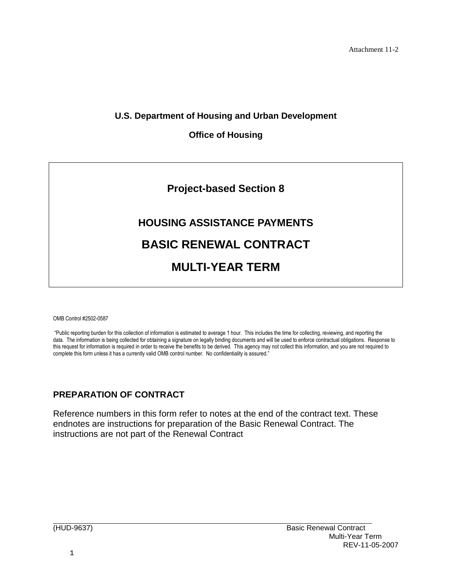Attachment 11-2

### **U.S. Department of Housing and Urban Development**

#### **Office of Housing**



# **HOUSING ASSISTANCE PAYMENTS BASIC RENEWAL CONTRACT MULTI-YEAR TERM**

OMB Control #2502-0587

"Public reporting burden for this collection of information is estimated to average 1 hour. This includes the time for collecting, reviewing, and reporting the data. The information is being collected for obtaining a signature on legally binding documents and will be used to enforce contractual obligations. Response to this request for information is required in order to receive the benefits to be derived. This agency may not collect this information, and you are not required to complete this form unless it has a currently valid OMB control number. No confidentiality is assured."

### **PREPARATION OF CONTRACT**

Reference numbers in this form refer to notes at the end of the contract text. These endnotes are instructions for preparation of the Basic Renewal Contract. The instructions are not part of the Renewal Contract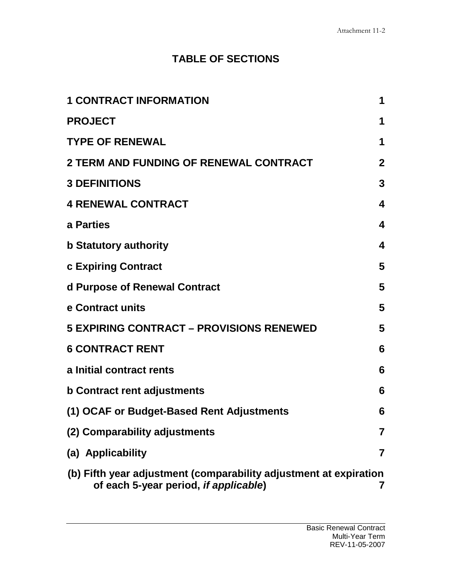## **TABLE OF SECTIONS**

| <b>1 CONTRACT INFORMATION</b>                                                                              | 1                |
|------------------------------------------------------------------------------------------------------------|------------------|
| <b>PROJECT</b>                                                                                             | 1                |
| <b>TYPE OF RENEWAL</b>                                                                                     | 1                |
| <b>2 TERM AND FUNDING OF RENEWAL CONTRACT</b>                                                              | $\mathbf{2}$     |
| <b>3 DEFINITIONS</b>                                                                                       | $\mathbf{3}$     |
| <b>4 RENEWAL CONTRACT</b>                                                                                  | 4                |
| a Parties                                                                                                  | $\boldsymbol{4}$ |
| <b>b Statutory authority</b>                                                                               | 4                |
| c Expiring Contract                                                                                        | 5                |
| d Purpose of Renewal Contract                                                                              | 5                |
| e Contract units                                                                                           | 5                |
| <b>5 EXPIRING CONTRACT - PROVISIONS RENEWED</b>                                                            | 5                |
| <b>6 CONTRACT RENT</b>                                                                                     | 6                |
| a Initial contract rents                                                                                   | 6                |
| <b>b Contract rent adjustments</b>                                                                         | 6                |
| (1) OCAF or Budget-Based Rent Adjustments                                                                  | 6                |
| (2) Comparability adjustments                                                                              | 7                |
| (a) Applicability                                                                                          | 7                |
| (b) Fifth year adjustment (comparability adjustment at expiration<br>of each 5-year period, if applicable) | 7                |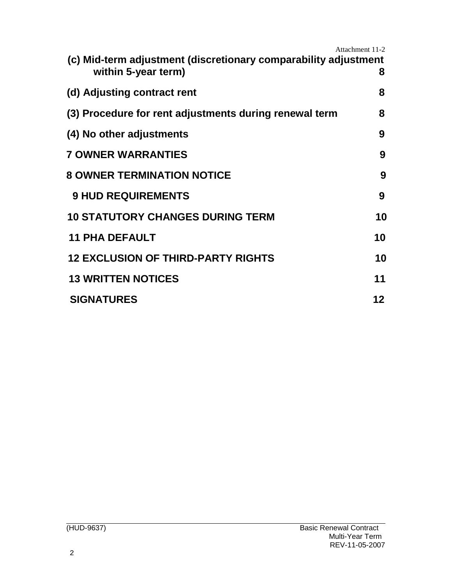|                                                                                        | Attachment 11-2 |
|----------------------------------------------------------------------------------------|-----------------|
| (c) Mid-term adjustment (discretionary comparability adjustment<br>within 5-year term) | 8               |
| (d) Adjusting contract rent                                                            | 8               |
| (3) Procedure for rent adjustments during renewal term                                 | 8               |
| (4) No other adjustments                                                               | 9               |
| <b>7 OWNER WARRANTIES</b>                                                              | 9               |
| <b>8 OWNER TERMINATION NOTICE</b>                                                      | 9               |
| <b>9 HUD REQUIREMENTS</b>                                                              | 9               |
| <b>10 STATUTORY CHANGES DURING TERM</b>                                                | 10              |
| <b>11 PHA DEFAULT</b>                                                                  | 10              |
| <b>12 EXCLUSION OF THIRD-PARTY RIGHTS</b>                                              | 10              |
| <b>13 WRITTEN NOTICES</b>                                                              | 11              |
| <b>SIGNATURES</b>                                                                      | 12              |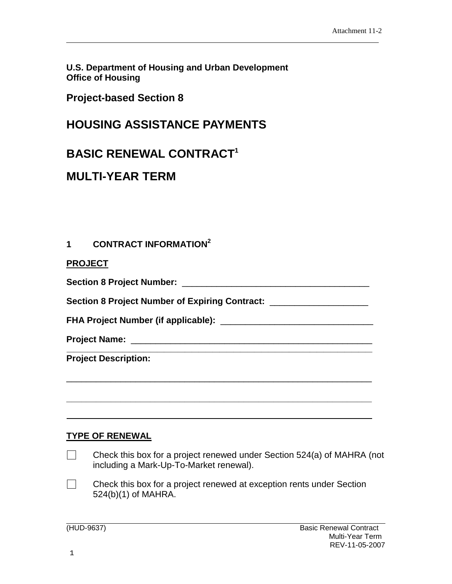**U.S. Department of Housing and Urban Development Office of Housing**

**Project-based Section 8**

## **HOUSING ASSISTANCE PAYMENTS**

## **BASIC RENEWAL CONTRACT[1](#page-18-0)**

## **MULTI-YEAR TERM**

## <span id="page-3-0"></span>**1 CONTRACT INFORMATION[2](#page-18-1)**

<span id="page-3-1"></span>

|  |  | <b>PROJECT</b> |  |
|--|--|----------------|--|
|  |  |                |  |

**Section 8 Project Number:** \_\_\_\_\_\_\_\_\_\_\_\_\_\_\_\_\_\_\_\_\_\_\_\_\_\_\_\_\_\_\_\_\_\_\_\_\_\_

**Section 8 Project Number of Expiring Contract:** \_\_\_\_\_\_\_\_\_\_\_\_\_\_\_\_\_\_\_\_

**FHA Project Number (if applicable):** \_\_\_\_\_\_\_\_\_\_\_\_\_\_\_\_\_\_\_\_\_\_\_\_\_\_\_\_\_\_\_

\_\_\_\_\_\_\_\_\_\_\_\_\_\_\_\_\_\_\_\_\_\_\_\_\_\_\_\_\_\_\_\_\_\_\_\_\_\_\_\_\_\_\_\_\_\_\_\_\_\_\_\_\_\_\_\_\_\_\_\_\_\_

<span id="page-3-2"></span>**\_\_\_\_\_\_\_\_\_\_\_\_\_\_\_\_\_\_\_\_\_\_\_\_\_\_\_\_\_\_\_\_\_\_\_\_\_\_\_\_\_\_\_\_\_\_\_\_\_\_\_\_\_\_\_\_\_\_\_\_\_\_**

**Project Name:** \_\_\_\_\_\_\_\_\_\_\_\_\_\_\_\_\_\_\_\_\_\_\_\_\_\_\_\_\_\_\_\_\_\_\_\_\_\_\_\_\_\_\_\_\_\_\_\_\_ **\_\_\_\_\_\_\_\_\_\_\_\_[\\_](#page-18-2)\_\_\_\_\_\_\_\_\_\_\_\_\_\_\_\_\_\_\_\_\_\_\_\_\_\_\_\_\_\_\_**

**Project Description:**

## **TYPE OF RENEWAL**

- $\Box$ Check this box for a project renewed under Section 524(a) of MAHRA (not including a Mark-Up-To-Market renewal).
- $\Box$ Check this box for a project renewed at exception rents under Section 524(b)(1) of MAHRA.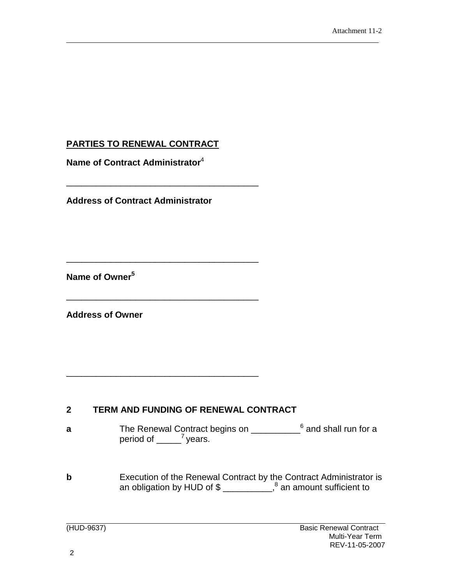## **PARTIES TO RENEWAL CONTRACT**

**Name of Contract Administrator**[4](#page-18-3)

**Address of Contract Administrator**

\_\_\_\_\_\_\_\_\_\_\_\_\_\_\_\_\_\_\_\_\_\_\_\_\_\_\_\_\_\_\_\_\_\_\_\_\_\_\_

\_\_\_\_\_\_\_\_\_\_\_\_\_\_\_\_\_\_\_\_\_\_\_\_\_\_\_\_\_\_\_\_\_\_\_\_\_\_\_

\_\_\_\_\_\_\_\_\_\_\_\_\_\_\_\_\_\_\_\_\_\_\_\_\_\_\_\_\_\_\_\_\_\_\_\_\_\_\_

\_\_\_\_\_\_\_\_\_\_\_\_\_\_\_\_\_\_\_\_\_\_\_\_\_\_\_\_\_\_\_\_\_\_\_\_\_\_\_

**Name of Owner[5](#page-18-4)**

**Address of Owner**

### <span id="page-4-0"></span>**2 TERM AND FUNDING OF RENEWAL CONTRACT**

- **a** The Renewal Contract begins on \_\_\_\_\_\_\_\_\_\_<sup>[6](#page-18-5)</sup> and shall run for a period of  $\frac{7}{2}$  $\frac{7}{2}$  $\frac{7}{2}$  years.
- **b** Execution of the Renewal Contract by the Contract Administrator is an obligation by HUD of  $\frac{1}{2}$  an amount sufficient to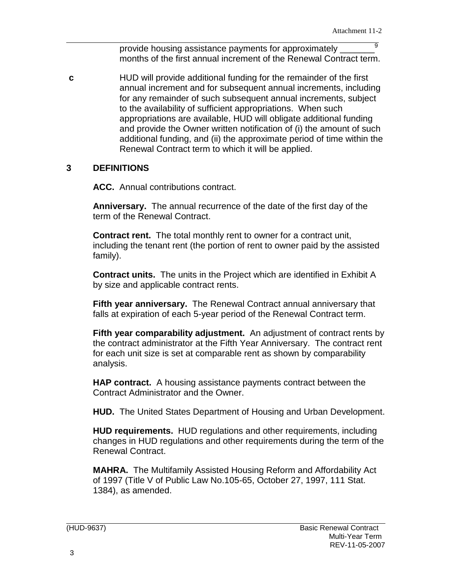provide housing assistance payments for approximately months of the first annual increment of the Renewal Contract term.

**c** HUD will provide additional funding for the remainder of the first annual increment and for subsequent annual increments, including for any remainder of such subsequent annual increments, subject to the availability of sufficient appropriations. When such appropriations are available, HUD will obligate additional funding and provide the Owner written notification of (i) the amount of such additional funding, and (ii) the approximate period of time within the Renewal Contract term to which it will be applied.

#### <span id="page-5-0"></span>**3 DEFINITIONS**

**ACC.** Annual contributions contract.

**Anniversary.** The annual recurrence of the date of the first day of the term of the Renewal Contract.

**Contract rent.** The total monthly rent to owner for a contract unit, including the tenant rent (the portion of rent to owner paid by the assisted family).

**Contract units.** The units in the Project which are identified in Exhibit A by size and applicable contract rents.

**Fifth year anniversary.** The Renewal Contract annual anniversary that falls at expiration of each 5-year period of the Renewal Contract term.

**Fifth year comparability adjustment.** An adjustment of contract rents by the contract administrator at the Fifth Year Anniversary. The contract rent for each unit size is set at comparable rent as shown by comparability analysis.

**HAP contract.** A housing assistance payments contract between the Contract Administrator and the Owner.

**HUD.** The United States Department of Housing and Urban Development.

**HUD requirements.** HUD regulations and other requirements, including changes in HUD regulations and other requirements during the term of the Renewal Contract.

**MAHRA.** The Multifamily Assisted Housing Reform and Affordability Act of 1997 (Title V of Public Law No.105-65, October 27, 1997, 111 Stat. 1384), as amended.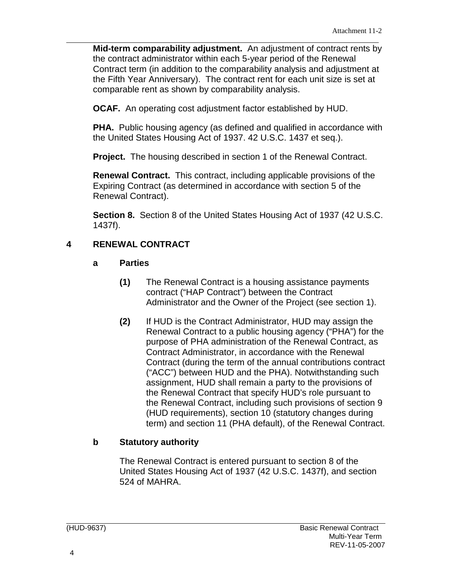**Mid-term comparability adjustment.** An adjustment of contract rents by the contract administrator within each 5-year period of the Renewal Contract term (in addition to the comparability analysis and adjustment at the Fifth Year Anniversary). The contract rent for each unit size is set at comparable rent as shown by comparability analysis.

**OCAF.** An operating cost adjustment factor established by HUD.

**PHA.** Public housing agency (as defined and qualified in accordance with the United States Housing Act of 1937. 42 U.S.C. 1437 et seq.).

**Project.** The housing described in section 1 of the Renewal Contract.

**Renewal Contract.** This contract, including applicable provisions of the Expiring Contract (as determined in accordance with section 5 of the Renewal Contract).

**Section 8.** Section 8 of the United States Housing Act of 1937 (42 U.S.C. 1437f).

### <span id="page-6-0"></span>**4 RENEWAL CONTRACT**

#### <span id="page-6-1"></span>**a Parties**

- **(1)** The Renewal Contract is a housing assistance payments contract ("HAP Contract") between the Contract Administrator and the Owner of the Project (see section 1).
- **(2)** If HUD is the Contract Administrator, HUD may assign the Renewal Contract to a public housing agency ("PHA") for the purpose of PHA administration of the Renewal Contract, as Contract Administrator, in accordance with the Renewal Contract (during the term of the annual contributions contract ("ACC") between HUD and the PHA). Notwithstanding such assignment, HUD shall remain a party to the provisions of the Renewal Contract that specify HUD's role pursuant to the Renewal Contract, including such provisions of section 9 (HUD requirements), section 10 (statutory changes during term) and section 11 (PHA default), of the Renewal Contract.

#### <span id="page-6-2"></span>**b Statutory authority**

The Renewal Contract is entered pursuant to section 8 of the United States Housing Act of 1937 (42 U.S.C. 1437f), and section 524 of MAHRA.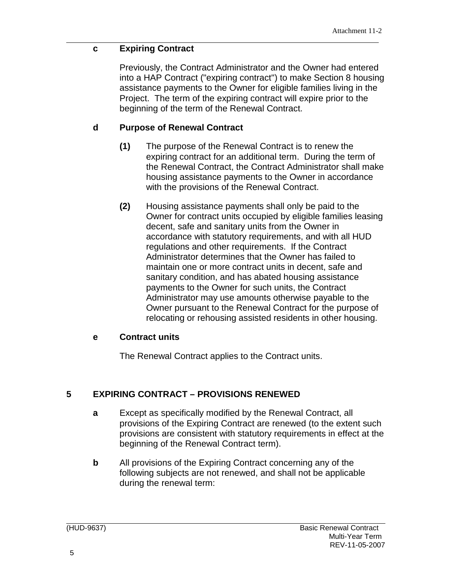## <span id="page-7-0"></span>**c Expiring Contract**

Previously, the Contract Administrator and the Owner had entered into a HAP Contract ("expiring contract") to make Section 8 housing assistance payments to the Owner for eligible families living in the Project. The term of the expiring contract will expire prior to the beginning of the term of the Renewal Contract.

## <span id="page-7-1"></span>**d Purpose of Renewal Contract**

- **(1)** The purpose of the Renewal Contract is to renew the expiring contract for an additional term. During the term of the Renewal Contract, the Contract Administrator shall make housing assistance payments to the Owner in accordance with the provisions of the Renewal Contract.
- **(2)** Housing assistance payments shall only be paid to the Owner for contract units occupied by eligible families leasing decent, safe and sanitary units from the Owner in accordance with statutory requirements, and with all HUD regulations and other requirements. If the Contract Administrator determines that the Owner has failed to maintain one or more contract units in decent, safe and sanitary condition, and has abated housing assistance payments to the Owner for such units, the Contract Administrator may use amounts otherwise payable to the Owner pursuant to the Renewal Contract for the purpose of relocating or rehousing assisted residents in other housing.

### <span id="page-7-2"></span>**e Contract units**

The Renewal Contract applies to the Contract units.

## **5 EXPIRING CONTRACT – PROVISIONS RENEWED**

- **a** Except as specifically modified by the Renewal Contract, all provisions of the Expiring Contract are renewed (to the extent such provisions are consistent with statutory requirements in effect at the beginning of the Renewal Contract term).
- **b** All provisions of the Expiring Contract concerning any of the following subjects are not renewed, and shall not be applicable during the renewal term: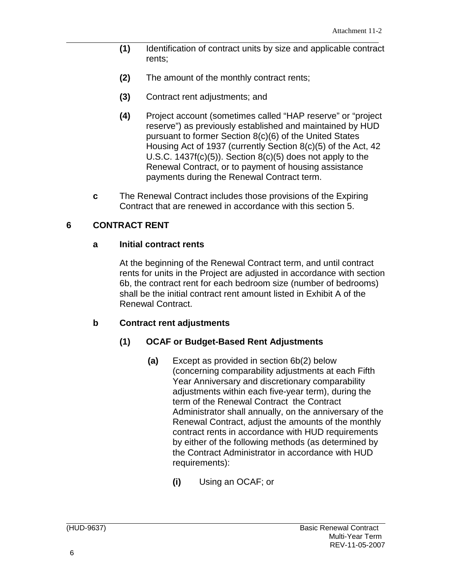- **(1)** Identification of contract units by size and applicable contract rents;
- **(2)** The amount of the monthly contract rents;
- **(3)** Contract rent adjustments; and
- **(4)** Project account (sometimes called "HAP reserve" or "project reserve") as previously established and maintained by HUD pursuant to former Section 8(c)(6) of the United States Housing Act of 1937 (currently Section 8(c)(5) of the Act, 42 U.S.C.  $1437f(c)(5)$ ). Section  $8(c)(5)$  does not apply to the Renewal Contract, or to payment of housing assistance payments during the Renewal Contract term.
- **c** The Renewal Contract includes those provisions of the Expiring Contract that are renewed in accordance with this section 5.

### <span id="page-8-0"></span>**6 CONTRACT RENT**

#### <span id="page-8-1"></span>**a Initial contract rents**

At the beginning of the Renewal Contract term, and until contract rents for units in the Project are adjusted in accordance with section 6b, the contract rent for each bedroom size (number of bedrooms) shall be the initial contract rent amount listed in Exhibit A of the Renewal Contract.

#### <span id="page-8-2"></span>**b Contract rent adjustments**

#### <span id="page-8-3"></span>**(1) OCAF or Budget-Based Rent Adjustments**

- **(a)** Except as provided in section 6b(2) below (concerning comparability adjustments at each Fifth Year Anniversary and discretionary comparability adjustments within each five-year term), during the term of the Renewal Contract the Contract Administrator shall annually, on the anniversary of the Renewal Contract, adjust the amounts of the monthly contract rents in accordance with HUD requirements by either of the following methods (as determined by the Contract Administrator in accordance with HUD requirements):
	- **(i)** Using an OCAF; or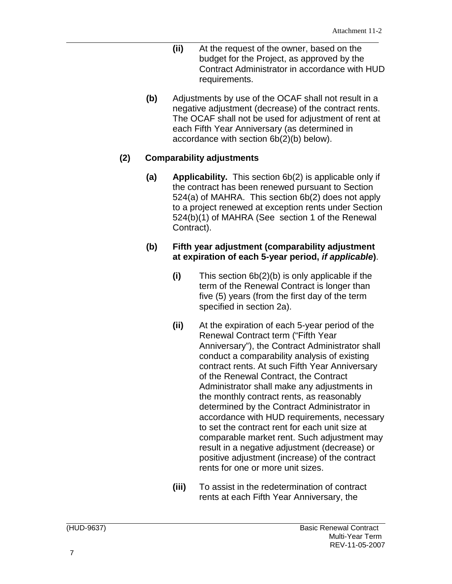- **(ii)** At the request of the owner, based on the budget for the Project, as approved by the Contract Administrator in accordance with HUD requirements.
- **(b)** Adjustments by use of the OCAF shall not result in a negative adjustment (decrease) of the contract rents. The OCAF shall not be used for adjustment of rent at each Fifth Year Anniversary (as determined in accordance with section 6b(2)(b) below).

#### <span id="page-9-0"></span>**(2) Comparability adjustments**

<span id="page-9-1"></span>**(a) Applicability.** This section 6b(2) is applicable only if the contract has been renewed pursuant to Section 524(a) of MAHRA. This section 6b(2) does not apply to a project renewed at exception rents under Section 524(b)(1) of MAHRA (See section 1 of the Renewal Contract).

#### <span id="page-9-2"></span>**(b) Fifth year adjustment (comparability adjustment at expiration of each 5-year period,** *if applicable***)**.

- **(i)** This section 6b(2)(b) is only applicable if the term of the Renewal Contract is longer than five (5) years (from the first day of the term specified in section 2a).
- **(ii)** At the expiration of each 5-year period of the Renewal Contract term ("Fifth Year Anniversary"), the Contract Administrator shall conduct a comparability analysis of existing contract rents. At such Fifth Year Anniversary of the Renewal Contract, the Contract Administrator shall make any adjustments in the monthly contract rents, as reasonably determined by the Contract Administrator in accordance with HUD requirements, necessary to set the contract rent for each unit size at comparable market rent. Such adjustment may result in a negative adjustment (decrease) or positive adjustment (increase) of the contract rents for one or more unit sizes.
- **(iii)** To assist in the redetermination of contract rents at each Fifth Year Anniversary, the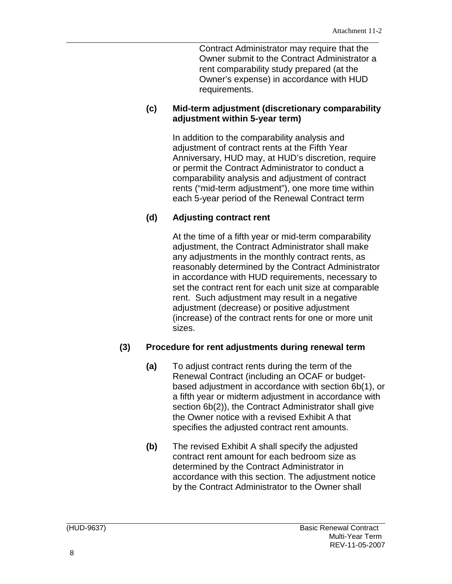Contract Administrator may require that the Owner submit to the Contract Administrator a rent comparability study prepared (at the Owner's expense) in accordance with HUD requirements.

#### <span id="page-10-0"></span>**(c) Mid-term adjustment (discretionary comparability adjustment within 5-year term)**

In addition to the comparability analysis and adjustment of contract rents at the Fifth Year Anniversary, HUD may, at HUD's discretion, require or permit the Contract Administrator to conduct a comparability analysis and adjustment of contract rents ("mid-term adjustment"), one more time within each 5-year period of the Renewal Contract term

## <span id="page-10-1"></span>**(d) Adjusting contract rent**

At the time of a fifth year or mid-term comparability adjustment, the Contract Administrator shall make any adjustments in the monthly contract rents, as reasonably determined by the Contract Administrator in accordance with HUD requirements, necessary to set the contract rent for each unit size at comparable rent. Such adjustment may result in a negative adjustment (decrease) or positive adjustment (increase) of the contract rents for one or more unit sizes.

## <span id="page-10-2"></span>**(3) Procedure for rent adjustments during renewal term**

- **(a)** To adjust contract rents during the term of the Renewal Contract (including an OCAF or budgetbased adjustment in accordance with section 6b(1), or a fifth year or midterm adjustment in accordance with section 6b(2)), the Contract Administrator shall give the Owner notice with a revised Exhibit A that specifies the adjusted contract rent amounts.
- **(b)** The revised Exhibit A shall specify the adjusted contract rent amount for each bedroom size as determined by the Contract Administrator in accordance with this section. The adjustment notice by the Contract Administrator to the Owner shall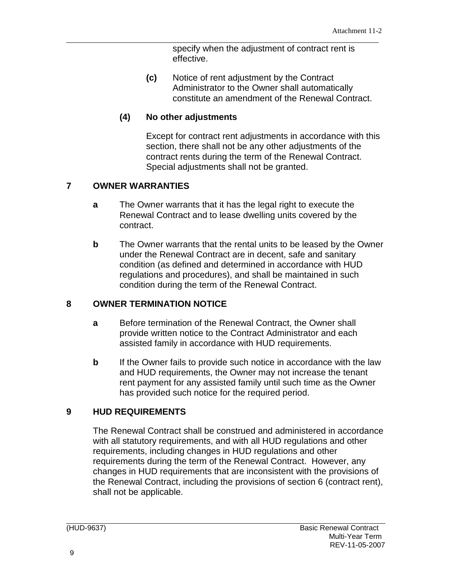specify when the adjustment of contract rent is effective.

**(c)** Notice of rent adjustment by the Contract Administrator to the Owner shall automatically constitute an amendment of the Renewal Contract.

## <span id="page-11-0"></span>**(4) No other adjustments**

Except for contract rent adjustments in accordance with this section, there shall not be any other adjustments of the contract rents during the term of the Renewal Contract. Special adjustments shall not be granted.

## <span id="page-11-1"></span>**7 OWNER WARRANTIES**

- **a** The Owner warrants that it has the legal right to execute the Renewal Contract and to lease dwelling units covered by the contract.
- **b** The Owner warrants that the rental units to be leased by the Owner under the Renewal Contract are in decent, safe and sanitary condition (as defined and determined in accordance with HUD regulations and procedures), and shall be maintained in such condition during the term of the Renewal Contract.

## <span id="page-11-2"></span>**8 OWNER TERMINATION NOTICE**

- **a** Before termination of the Renewal Contract, the Owner shall provide written notice to the Contract Administrator and each assisted family in accordance with HUD requirements.
- **b** If the Owner fails to provide such notice in accordance with the law and HUD requirements, the Owner may not increase the tenant rent payment for any assisted family until such time as the Owner has provided such notice for the required period.

## <span id="page-11-3"></span>**9 HUD REQUIREMENTS**

The Renewal Contract shall be construed and administered in accordance with all statutory requirements, and with all HUD regulations and other requirements, including changes in HUD regulations and other requirements during the term of the Renewal Contract. However, any changes in HUD requirements that are inconsistent with the provisions of the Renewal Contract, including the provisions of section 6 (contract rent), shall not be applicable.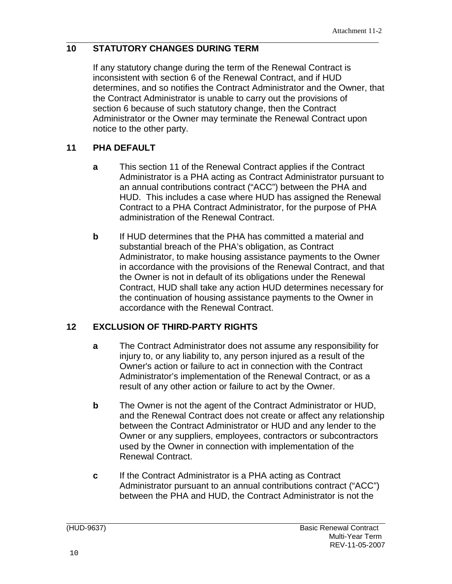## <span id="page-12-0"></span>**10 STATUTORY CHANGES DURING TERM**

If any statutory change during the term of the Renewal Contract is inconsistent with section 6 of the Renewal Contract, and if HUD determines, and so notifies the Contract Administrator and the Owner, that the Contract Administrator is unable to carry out the provisions of section 6 because of such statutory change, then the Contract Administrator or the Owner may terminate the Renewal Contract upon notice to the other party.

## <span id="page-12-1"></span>**11 PHA DEFAULT**

- **a** This section 11 of the Renewal Contract applies if the Contract Administrator is a PHA acting as Contract Administrator pursuant to an annual contributions contract ("ACC") between the PHA and HUD. This includes a case where HUD has assigned the Renewal Contract to a PHA Contract Administrator, for the purpose of PHA administration of the Renewal Contract.
- **b** If HUD determines that the PHA has committed a material and substantial breach of the PHA's obligation, as Contract Administrator, to make housing assistance payments to the Owner in accordance with the provisions of the Renewal Contract, and that the Owner is not in default of its obligations under the Renewal Contract, HUD shall take any action HUD determines necessary for the continuation of housing assistance payments to the Owner in accordance with the Renewal Contract.

## <span id="page-12-2"></span>**12 EXCLUSION OF THIRD-PARTY RIGHTS**

- **a** The Contract Administrator does not assume any responsibility for injury to, or any liability to, any person injured as a result of the Owner's action or failure to act in connection with the Contract Administrator's implementation of the Renewal Contract, or as a result of any other action or failure to act by the Owner.
- **b** The Owner is not the agent of the Contract Administrator or HUD, and the Renewal Contract does not create or affect any relationship between the Contract Administrator or HUD and any lender to the Owner or any suppliers, employees, contractors or subcontractors used by the Owner in connection with implementation of the Renewal Contract.
- **c** If the Contract Administrator is a PHA acting as Contract Administrator pursuant to an annual contributions contract ("ACC") between the PHA and HUD, the Contract Administrator is not the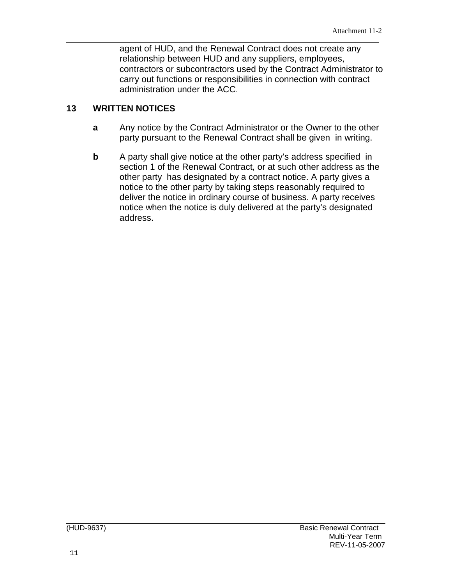agent of HUD, and the Renewal Contract does not create any relationship between HUD and any suppliers, employees, contractors or subcontractors used by the Contract Administrator to carry out functions or responsibilities in connection with contract administration under the ACC.

#### <span id="page-13-0"></span>**13 WRITTEN NOTICES**

- **a** Any notice by the Contract Administrator or the Owner to the other party pursuant to the Renewal Contract shall be given in writing.
- **b** A party shall give notice at the other party's address specified in section 1 of the Renewal Contract, or at such other address as the other party has designated by a contract notice. A party gives a notice to the other party by taking steps reasonably required to deliver the notice in ordinary course of business. A party receives notice when the notice is duly delivered at the party's designated address.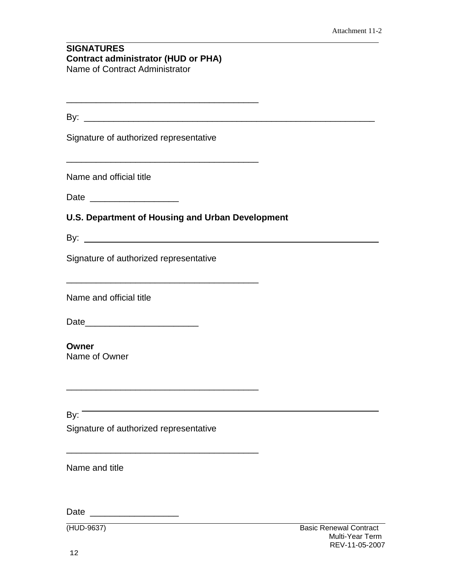#### <span id="page-14-0"></span>**SIGNATURES Contract administrator (HUD or PHA)** Name of Contract Administrator

| -        |  |  |  |  |
|----------|--|--|--|--|
| . .<br>- |  |  |  |  |

\_\_\_\_\_\_\_\_\_\_\_\_\_\_\_\_\_\_\_\_\_\_\_\_\_\_\_\_\_\_\_\_\_\_\_\_\_\_\_

Signature of authorized representative

Name and official title

Date \_\_\_\_\_\_\_\_\_\_\_\_\_\_\_\_\_\_

**U.S. Department of Housing and Urban Development**

By: <u>the contract of the contract of the contract of the contract of the contract of the contract of the contract of the contract of the contract of the contract of the contract of the contract of the contract of the contr</u>

Signature of authorized representative

\_\_\_\_\_\_\_\_\_\_\_\_\_\_\_\_\_\_\_\_\_\_\_\_\_\_\_\_\_\_\_\_\_\_\_\_\_\_\_

\_\_\_\_\_\_\_\_\_\_\_\_\_\_\_\_\_\_\_\_\_\_\_\_\_\_\_\_\_\_\_\_\_\_\_\_\_\_\_

\_\_\_\_\_\_\_\_\_\_\_\_\_\_\_\_\_\_\_\_\_\_\_\_\_\_\_\_\_\_\_\_\_\_\_\_\_\_\_

Name and official title

Date\_\_\_\_\_\_\_\_\_\_\_\_\_\_\_\_\_\_\_\_\_\_\_

### **Owner**

Name of Owner

By:  $\overline{\phantom{a}}$ Signature of authorized representative

Name and title

Date \_\_\_\_\_\_\_\_\_\_\_\_\_\_\_\_\_\_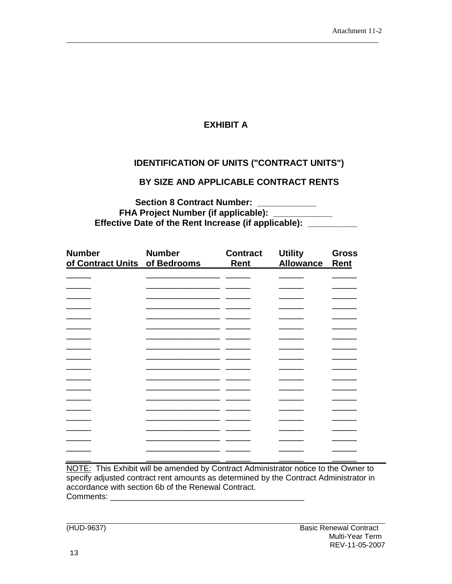## **EXHIBIT A**

## **IDENTIFICATION OF UNITS ("CONTRACT UNITS")**

#### **BY SIZE AND APPLICABLE CONTRACT RENTS**

**Section 8 Contract Number: \_\_\_\_\_\_\_\_\_\_\_\_ FHA Project Number (if applicable): \_\_\_\_\_\_\_\_\_\_\_\_ Effective Date of the Rent Increase (if applicable): \_\_\_\_\_\_\_\_\_\_\_\_\_\_\_\_\_\_\_\_\_\_\_\_\_\_\_** 

| <b>Number</b><br>of Contract Units of Bedrooms | <b>Number</b> | <b>Contract</b><br>Rent | <b>Utility</b><br><b>Allowance</b> | <b>Gross</b><br>Rent |  |
|------------------------------------------------|---------------|-------------------------|------------------------------------|----------------------|--|
|                                                |               |                         |                                    |                      |  |
|                                                |               |                         |                                    |                      |  |
|                                                |               |                         |                                    |                      |  |
|                                                |               |                         |                                    |                      |  |
|                                                |               |                         |                                    |                      |  |
|                                                |               |                         |                                    |                      |  |
|                                                |               |                         |                                    |                      |  |
|                                                |               |                         |                                    |                      |  |
|                                                |               |                         |                                    |                      |  |
|                                                |               |                         |                                    |                      |  |
|                                                |               |                         |                                    |                      |  |
|                                                |               |                         |                                    |                      |  |
|                                                |               |                         |                                    |                      |  |
|                                                |               |                         |                                    |                      |  |
|                                                |               |                         |                                    |                      |  |
|                                                |               |                         |                                    |                      |  |
|                                                |               |                         |                                    |                      |  |
|                                                |               |                         |                                    |                      |  |
|                                                |               |                         |                                    |                      |  |

NOTE: This Exhibit will be amended by Contract Administrator notice to the Owner to specify adjusted contract rent amounts as determined by the Contract Administrator in accordance with section 6b of the Renewal Contract. Comments: \_\_\_\_\_\_\_\_\_\_\_\_\_\_\_\_\_\_\_\_\_\_\_\_\_\_\_\_\_\_\_\_\_\_\_\_\_\_\_\_\_\_\_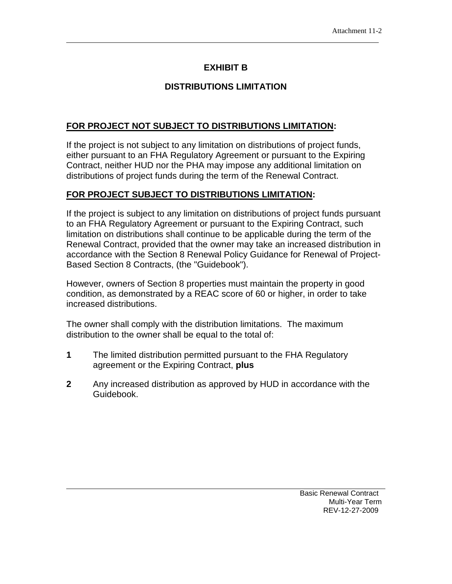### **EXHIBIT B**

## **DISTRIBUTIONS LIMITATION**

#### **FOR PROJECT NOT SUBJECT TO DISTRIBUTIONS LIMITATION:**

If the project is not subject to any limitation on distributions of project funds, either pursuant to an FHA Regulatory Agreement or pursuant to the Expiring Contract, neither HUD nor the PHA may impose any additional limitation on distributions of project funds during the term of the Renewal Contract.

#### **FOR PROJECT SUBJECT TO DISTRIBUTIONS LIMITATION:**

If the project is subject to any limitation on distributions of project funds pursuant to an FHA Regulatory Agreement or pursuant to the Expiring Contract, such limitation on distributions shall continue to be applicable during the term of the Renewal Contract, provided that the owner may take an increased distribution in accordance with the Section 8 Renewal Policy Guidance for Renewal of Project-Based Section 8 Contracts, (the "Guidebook").

However, owners of Section 8 properties must maintain the property in good condition, as demonstrated by a REAC score of 60 or higher, in order to take increased distributions.

The owner shall comply with the distribution limitations. The maximum distribution to the owner shall be equal to the total of:

- **1** The limited distribution permitted pursuant to the FHA Regulatory agreement or the Expiring Contract, **plus**
- **2** Any increased distribution as approved by HUD in accordance with the Guidebook.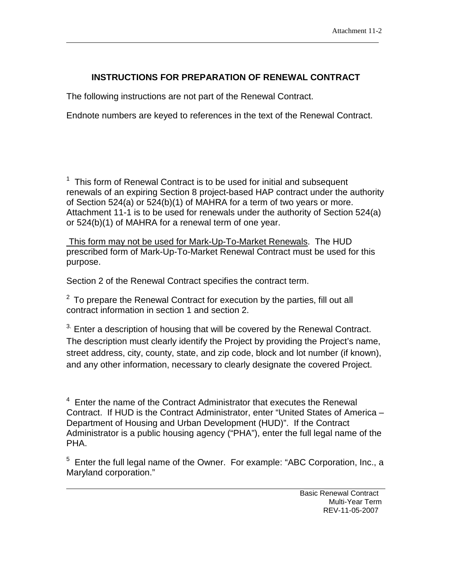## **INSTRUCTIONS FOR PREPARATION OF RENEWAL CONTRACT**

The following instructions are not part of the Renewal Contract.

Endnote numbers are keyed to references in the text of the Renewal Contract.

 $1$  This form of Renewal Contract is to be used for initial and subsequent renewals of an expiring Section 8 project-based HAP contract under the authority of Section 524(a) or 524(b)(1) of MAHRA for a term of two years or more. Attachment 11-1 is to be used for renewals under the authority of Section 524(a) or 524(b)(1) of MAHRA for a renewal term of one year.

This form may not be used for Mark-Up-To-Market Renewals. The HUD prescribed form of Mark-Up-To-Market Renewal Contract must be used for this purpose.

Section 2 of the Renewal Contract specifies the contract term.

 $^2$  To prepare the Renewal Contract for execution by the parties, fill out all contract information in section 1 and section 2.

 $3.$  Enter a description of housing that will be covered by the Renewal Contract. The description must clearly identify the Project by providing the Project's name, street address, city, county, state, and zip code, block and lot number (if known), and any other information, necessary to clearly designate the covered Project.

 $4$  Enter the name of the Contract Administrator that executes the Renewal Contract. If HUD is the Contract Administrator, enter "United States of America – Department of Housing and Urban Development (HUD)". If the Contract Administrator is a public housing agency ("PHA"), enter the full legal name of the PHA.

<sup>5</sup> Enter the full legal name of the Owner. For example: "ABC Corporation, Inc., a Maryland corporation."